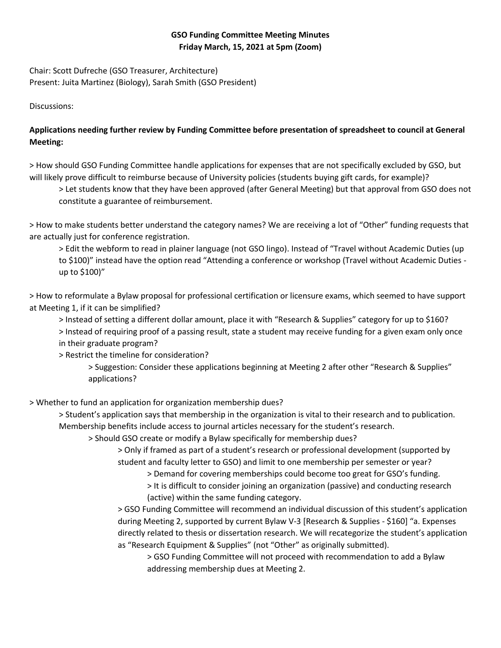## **GSO Funding Committee Meeting Minutes Friday March, 15, 2021 at 5pm (Zoom)**

Chair: Scott Dufreche (GSO Treasurer, Architecture) Present: Juita Martinez (Biology), Sarah Smith (GSO President)

Discussions:

## **Applications needing further review by Funding Committee before presentation of spreadsheet to council at General Meeting:**

> How should GSO Funding Committee handle applications for expenses that are not specifically excluded by GSO, but will likely prove difficult to reimburse because of University policies (students buying gift cards, for example)?

> Let students know that they have been approved (after General Meeting) but that approval from GSO does not constitute a guarantee of reimbursement.

> How to make students better understand the category names? We are receiving a lot of "Other" funding requests that are actually just for conference registration.

> Edit the webform to read in plainer language (not GSO lingo). Instead of "Travel without Academic Duties (up to \$100)" instead have the option read "Attending a conference or workshop (Travel without Academic Duties up to \$100)"

> How to reformulate a Bylaw proposal for professional certification or licensure exams, which seemed to have support at Meeting 1, if it can be simplified?

> Instead of setting a different dollar amount, place it with "Research & Supplies" category for up to \$160? > Instead of requiring proof of a passing result, state a student may receive funding for a given exam only once in their graduate program?

> Restrict the timeline for consideration?

> Suggestion: Consider these applications beginning at Meeting 2 after other "Research & Supplies" applications?

> Whether to fund an application for organization membership dues?

> Student's application says that membership in the organization is vital to their research and to publication. Membership benefits include access to journal articles necessary for the student's research.

> Should GSO create or modify a Bylaw specifically for membership dues?

> Only if framed as part of a student's research or professional development (supported by student and faculty letter to GSO) and limit to one membership per semester or year?

> Demand for covering memberships could become too great for GSO's funding.

> It is difficult to consider joining an organization (passive) and conducting research (active) within the same funding category.

> GSO Funding Committee will recommend an individual discussion of this student's application during Meeting 2, supported by current Bylaw V-3 [Research & Supplies - \$160] "a. Expenses directly related to thesis or dissertation research. We will recategorize the student's application as "Research Equipment & Supplies" (not "Other" as originally submitted).

> GSO Funding Committee will not proceed with recommendation to add a Bylaw addressing membership dues at Meeting 2.